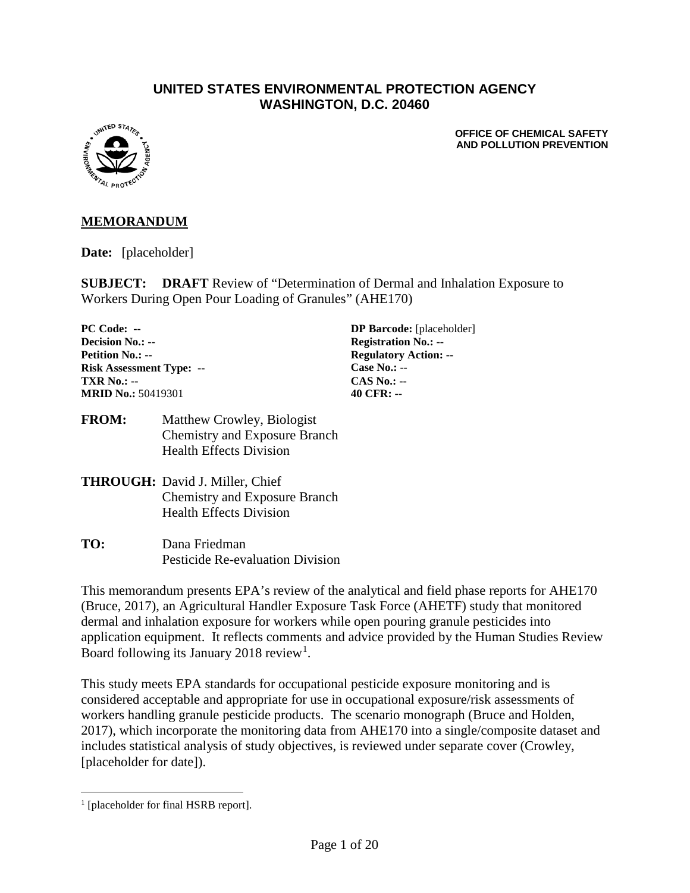#### **UNITED STATES ENVIRONMENTAL PROTECTION AGENCY WASHINGTON, D.C. 20460**



**OFFICE OF CHEMICAL SAFETY AND POLLUTION PREVENTION**

#### **MEMORANDUM**

**Date:** [placeholder]

**SUBJECT: DRAFT** Review of "Determination of Dermal and Inhalation Exposure to Workers During Open Pour Loading of Granules" (AHE170)

**Decision No.: -- Registration No.: --Petition No.: -- Regulatory Action: --Risk Assessment Type: -- Case No.:** -- **TXR No.: -- CAS No.: -- CAS No.: -- CAS No.: --** *AO CFR: -- AO CFR: --***MRID No.: 50419301** 

**PC Code: -- DP Barcode:** [placeholder]

**FROM:** Matthew Crowley, Biologist Chemistry and Exposure Branch Health Effects Division

- **THROUGH:** David J. Miller, Chief Chemistry and Exposure Branch Health Effects Division
- **TO:** Dana Friedman Pesticide Re-evaluation Division

This memorandum presents EPA's review of the analytical and field phase reports for AHE170 (Bruce, 2017), an Agricultural Handler Exposure Task Force (AHETF) study that monitored dermal and inhalation exposure for workers while open pouring granule pesticides into application equipment. It reflects comments and advice provided by the Human Studies Review Board following its January 20[1](#page-0-0)8 review<sup>1</sup>.

This study meets EPA standards for occupational pesticide exposure monitoring and is considered acceptable and appropriate for use in occupational exposure/risk assessments of workers handling granule pesticide products. The scenario monograph (Bruce and Holden, 2017), which incorporate the monitoring data from AHE170 into a single/composite dataset and includes statistical analysis of study objectives, is reviewed under separate cover (Crowley, [placeholder for date]).

<span id="page-0-0"></span><sup>&</sup>lt;sup>1</sup> [placeholder for final HSRB report].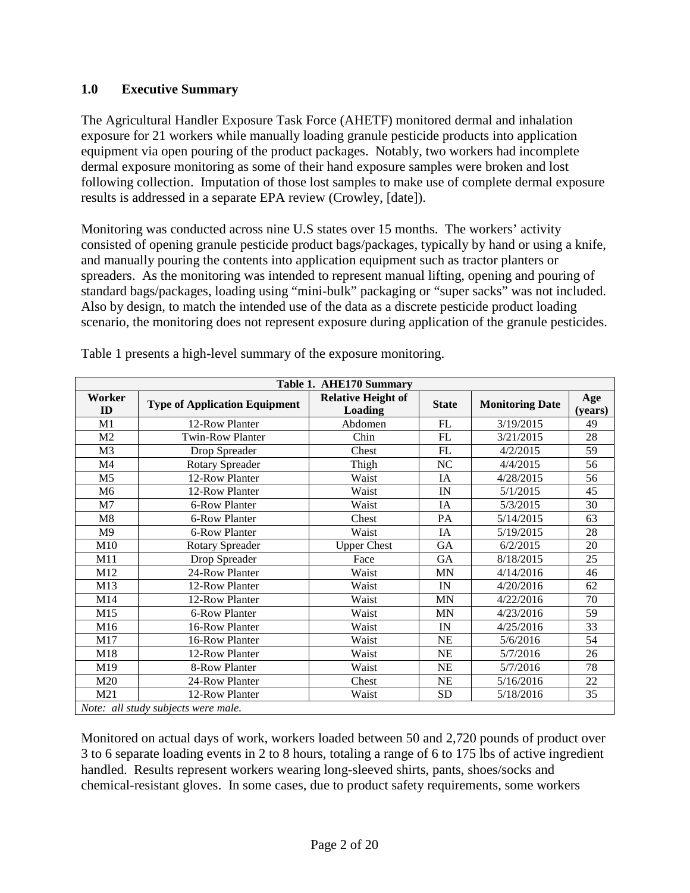#### **1.0 Executive Summary**

The Agricultural Handler Exposure Task Force (AHETF) monitored dermal and inhalation exposure for 21 workers while manually loading granule pesticide products into application equipment via open pouring of the product packages. Notably, two workers had incomplete dermal exposure monitoring as some of their hand exposure samples were broken and lost following collection. Imputation of those lost samples to make use of complete dermal exposure results is addressed in a separate EPA review (Crowley, [date]).

Monitoring was conducted across nine U.S states over 15 months. The workers' activity consisted of opening granule pesticide product bags/packages, typically by hand or using a knife, and manually pouring the contents into application equipment such as tractor planters or spreaders. As the monitoring was intended to represent manual lifting, opening and pouring of standard bags/packages, loading using "mini-bulk" packaging or "super sacks" was not included. Also by design, to match the intended use of the data as a discrete pesticide product loading scenario, the monitoring does not represent exposure during application of the granule pesticides.

|                | Table 1. AHE170 Summary              |                                      |              |                        |                |  |  |  |  |  |
|----------------|--------------------------------------|--------------------------------------|--------------|------------------------|----------------|--|--|--|--|--|
| Worker<br>ID   | <b>Type of Application Equipment</b> | <b>Relative Height of</b><br>Loading | <b>State</b> | <b>Monitoring Date</b> | Age<br>(years) |  |  |  |  |  |
| M1             | 12-Row Planter                       | Abdomen                              | ${\rm FL}$   | 3/19/2015              | 49             |  |  |  |  |  |
| M2             | <b>Twin-Row Planter</b>              | Chin                                 | FL           | 3/21/2015              | 28             |  |  |  |  |  |
| M <sub>3</sub> | Drop Spreader                        | Chest                                | FL           | 4/2/2015               | 59             |  |  |  |  |  |
| M4             | <b>Rotary Spreader</b>               | Thigh                                | NC           | 4/4/2015               | 56             |  |  |  |  |  |
| M <sub>5</sub> | 12-Row Planter                       | Waist                                | IA           | 4/28/2015              | 56             |  |  |  |  |  |
| M <sub>6</sub> | 12-Row Planter                       | Waist                                | IN           | 5/1/2015               | 45             |  |  |  |  |  |
| M <sub>7</sub> | 6-Row Planter                        | Waist                                | IA           | 5/3/2015               | 30             |  |  |  |  |  |
| M8             | 6-Row Planter                        | Chest                                | PA           | 5/14/2015              | 63             |  |  |  |  |  |
| M <sub>9</sub> | 6-Row Planter                        | Waist                                | IA           | 5/19/2015              | 28             |  |  |  |  |  |
| M10            | <b>Rotary Spreader</b>               | <b>Upper Chest</b>                   | <b>GA</b>    | 6/2/2015               | 20             |  |  |  |  |  |
| M11            | Drop Spreader                        | Face                                 | GA           | 8/18/2015              | 25             |  |  |  |  |  |
| M12            | 24-Row Planter                       | Waist                                | <b>MN</b>    | 4/14/2016              | 46             |  |  |  |  |  |
| M13            | 12-Row Planter                       | Waist                                | IN           | 4/20/2016              | 62             |  |  |  |  |  |
| M14            | 12-Row Planter                       | Waist                                | <b>MN</b>    | 4/22/2016              | 70             |  |  |  |  |  |
| M15            | 6-Row Planter                        | Waist                                | MN           | 4/23/2016              | 59             |  |  |  |  |  |
| M16            | 16-Row Planter                       | Waist                                | IN           | 4/25/2016              | 33             |  |  |  |  |  |
| M17            | 16-Row Planter                       | Waist                                | NE           | 5/6/2016               | 54             |  |  |  |  |  |
| M18            | 12-Row Planter                       | Waist                                | <b>NE</b>    | 5/7/2016               | 26             |  |  |  |  |  |
| M19            | 8-Row Planter                        | Waist                                | <b>NE</b>    | 5/7/2016               | 78             |  |  |  |  |  |
| M20            | 24-Row Planter                       | Chest                                | <b>NE</b>    | 5/16/2016              | 22             |  |  |  |  |  |
| M21            | 12-Row Planter                       | Waist                                | <b>SD</b>    | 5/18/2016              | 35             |  |  |  |  |  |
|                | Note: all study subjects were male.  |                                      |              |                        |                |  |  |  |  |  |

Table 1 presents a high-level summary of the exposure monitoring.

Monitored on actual days of work, workers loaded between 50 and 2,720 pounds of product over 3 to 6 separate loading events in 2 to 8 hours, totaling a range of 6 to 175 lbs of active ingredient handled. Results represent workers wearing long-sleeved shirts, pants, shoes/socks and chemical-resistant gloves. In some cases, due to product safety requirements, some workers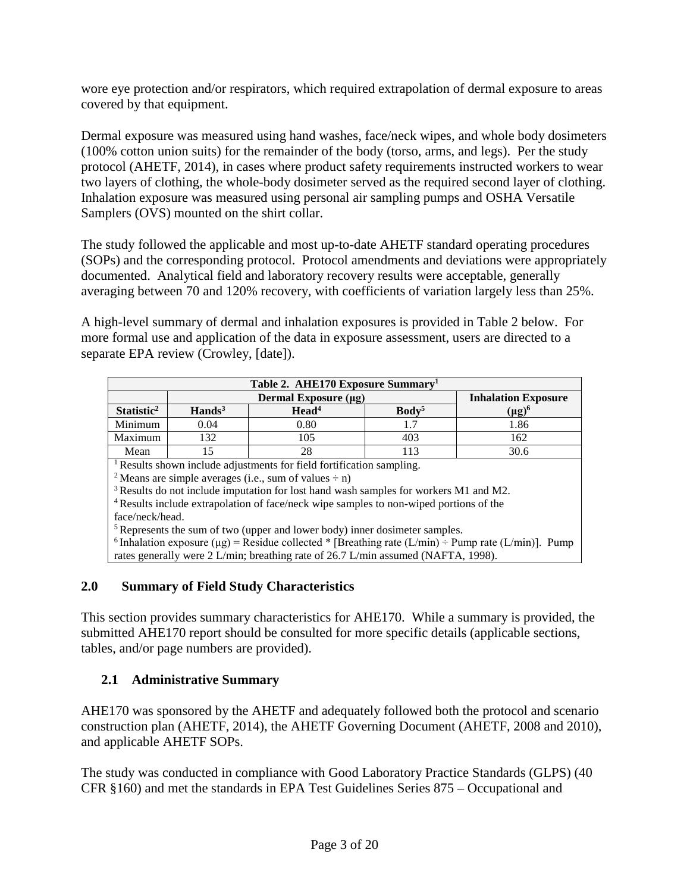wore eye protection and/or respirators, which required extrapolation of dermal exposure to areas covered by that equipment.

Dermal exposure was measured using hand washes, face/neck wipes, and whole body dosimeters (100% cotton union suits) for the remainder of the body (torso, arms, and legs). Per the study protocol (AHETF, 2014), in cases where product safety requirements instructed workers to wear two layers of clothing, the whole-body dosimeter served as the required second layer of clothing. Inhalation exposure was measured using personal air sampling pumps and OSHA Versatile Samplers (OVS) mounted on the shirt collar.

The study followed the applicable and most up-to-date AHETF standard operating procedures (SOPs) and the corresponding protocol. Protocol amendments and deviations were appropriately documented. Analytical field and laboratory recovery results were acceptable, generally averaging between 70 and 120% recovery, with coefficients of variation largely less than 25%.

A high-level summary of dermal and inhalation exposures is provided in Table 2 below. For more formal use and application of the data in exposure assessment, users are directed to a separate EPA review (Crowley, [date]).

| Table 2. AHE170 Exposure Summary <sup>1</sup> |                                |                                                                                                   |                   |                                                                                                                      |  |  |  |  |
|-----------------------------------------------|--------------------------------|---------------------------------------------------------------------------------------------------|-------------------|----------------------------------------------------------------------------------------------------------------------|--|--|--|--|
|                                               |                                | <b>Inhalation Exposure</b>                                                                        |                   |                                                                                                                      |  |  |  |  |
| Statistic <sup>2</sup>                        | $\mathbf{H}$ ands <sup>3</sup> | Head <sup>4</sup>                                                                                 | Body <sup>5</sup> | $(\mu g)^6$                                                                                                          |  |  |  |  |
| Minimum                                       | 0.04                           | 0.80                                                                                              | 1.7               | 1.86                                                                                                                 |  |  |  |  |
| Maximum                                       | 132                            | 105                                                                                               | 403               | 162                                                                                                                  |  |  |  |  |
| Mean                                          | 15<br>30.6<br>28<br>113        |                                                                                                   |                   |                                                                                                                      |  |  |  |  |
|                                               |                                | <sup>1</sup> Results shown include adjustments for field fortification sampling.                  |                   |                                                                                                                      |  |  |  |  |
|                                               |                                | <sup>2</sup> Means are simple averages (i.e., sum of values $\div$ n)                             |                   |                                                                                                                      |  |  |  |  |
|                                               |                                | <sup>3</sup> Results do not include imputation for lost hand wash samples for workers M1 and M2.  |                   |                                                                                                                      |  |  |  |  |
|                                               |                                | <sup>4</sup> Results include extrapolation of face/neck wipe samples to non-wiped portions of the |                   |                                                                                                                      |  |  |  |  |
| face/neck/head.                               |                                |                                                                                                   |                   |                                                                                                                      |  |  |  |  |
|                                               |                                | <sup>5</sup> Represents the sum of two (upper and lower body) inner dosimeter samples.            |                   |                                                                                                                      |  |  |  |  |
|                                               |                                |                                                                                                   |                   | <sup>6</sup> Inhalation exposure ( $\mu$ g) = Residue collected * [Breathing rate (L/min) ÷ Pump rate (L/min)]. Pump |  |  |  |  |
|                                               |                                | rates generally were 2 L/min; breathing rate of 26.7 L/min assumed (NAFTA, 1998).                 |                   |                                                                                                                      |  |  |  |  |

## **2.0 Summary of Field Study Characteristics**

This section provides summary characteristics for AHE170. While a summary is provided, the submitted AHE170 report should be consulted for more specific details (applicable sections, tables, and/or page numbers are provided).

## **2.1 Administrative Summary**

AHE170 was sponsored by the AHETF and adequately followed both the protocol and scenario construction plan (AHETF, 2014), the AHETF Governing Document (AHETF, 2008 and 2010), and applicable AHETF SOPs.

The study was conducted in compliance with Good Laboratory Practice Standards (GLPS) (40 CFR §160) and met the standards in EPA Test Guidelines Series 875 – Occupational and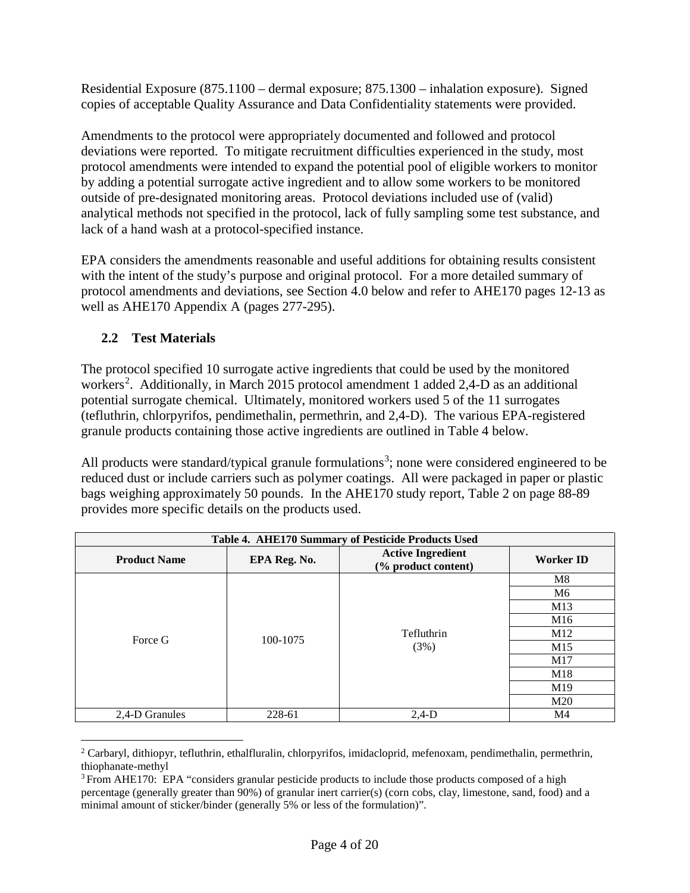Residential Exposure (875.1100 – dermal exposure; 875.1300 – inhalation exposure). Signed copies of acceptable Quality Assurance and Data Confidentiality statements were provided.

Amendments to the protocol were appropriately documented and followed and protocol deviations were reported. To mitigate recruitment difficulties experienced in the study, most protocol amendments were intended to expand the potential pool of eligible workers to monitor by adding a potential surrogate active ingredient and to allow some workers to be monitored outside of pre-designated monitoring areas. Protocol deviations included use of (valid) analytical methods not specified in the protocol, lack of fully sampling some test substance, and lack of a hand wash at a protocol-specified instance.

EPA considers the amendments reasonable and useful additions for obtaining results consistent with the intent of the study's purpose and original protocol. For a more detailed summary of protocol amendments and deviations, see Section 4.0 below and refer to AHE170 pages 12-13 as well as AHE170 Appendix A (pages 277-295).

# **2.2 Test Materials**

The protocol specified 10 surrogate active ingredients that could be used by the monitored workers<sup>[2](#page-3-0)</sup>. Additionally, in March 2015 protocol amendment 1 added 2,4-D as an additional potential surrogate chemical. Ultimately, monitored workers used 5 of the 11 surrogates (tefluthrin, chlorpyrifos, pendimethalin, permethrin, and 2,4-D). The various EPA-registered granule products containing those active ingredients are outlined in Table 4 below.

All products were standard/typical granule formulations<sup>[3](#page-3-1)</sup>; none were considered engineered to be reduced dust or include carriers such as polymer coatings. All were packaged in paper or plastic bags weighing approximately 50 pounds. In the AHE170 study report, Table 2 on page 88-89 provides more specific details on the products used.

|                     | Table 4. AHE170 Summary of Pesticide Products Used |                                                 |                  |  |  |  |  |  |  |
|---------------------|----------------------------------------------------|-------------------------------------------------|------------------|--|--|--|--|--|--|
| <b>Product Name</b> | EPA Reg. No.                                       | <b>Active Ingredient</b><br>(% product content) | <b>Worker ID</b> |  |  |  |  |  |  |
|                     |                                                    |                                                 | M8               |  |  |  |  |  |  |
|                     |                                                    |                                                 | M6               |  |  |  |  |  |  |
| Force G             | 100-1075                                           |                                                 | M13              |  |  |  |  |  |  |
|                     |                                                    |                                                 | M <sub>16</sub>  |  |  |  |  |  |  |
|                     |                                                    | Tefluthrin                                      | M <sub>12</sub>  |  |  |  |  |  |  |
|                     |                                                    | (3%)                                            | M15              |  |  |  |  |  |  |
|                     |                                                    |                                                 | M17              |  |  |  |  |  |  |
|                     |                                                    |                                                 | M18              |  |  |  |  |  |  |
|                     |                                                    |                                                 | M <sub>19</sub>  |  |  |  |  |  |  |
|                     |                                                    |                                                 | M <sub>20</sub>  |  |  |  |  |  |  |
| 2,4-D Granules      | 228-61                                             | $2,4-D$                                         | M <sub>4</sub>   |  |  |  |  |  |  |

<span id="page-3-0"></span> $2$  Carbaryl, dithiopyr, tefluthrin, ethalfluralin, chlorpyrifos, imidacloprid, mefenoxam, pendimethalin, permethrin, thiophanate-methyl

<span id="page-3-1"></span><sup>&</sup>lt;sup>3</sup> From AHE170: EPA "considers granular pesticide products to include those products composed of a high percentage (generally greater than 90%) of granular inert carrier(s) (corn cobs, clay, limestone, sand, food) and a minimal amount of sticker/binder (generally 5% or less of the formulation)".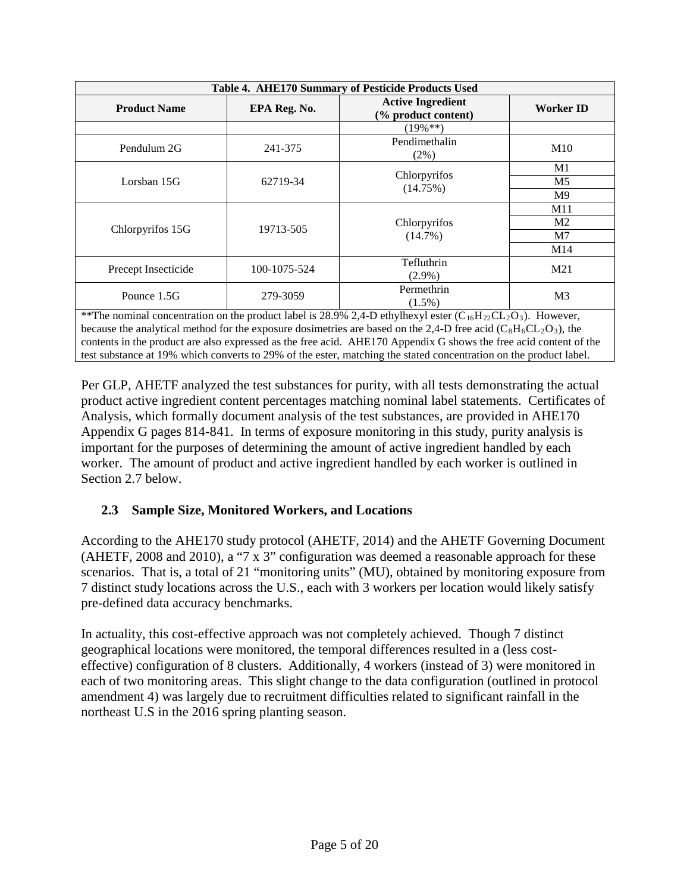| Table 4. AHE170 Summary of Pesticide Products Used |              |                                                                                                                      |                |  |  |  |  |
|----------------------------------------------------|--------------|----------------------------------------------------------------------------------------------------------------------|----------------|--|--|--|--|
| <b>Product Name</b>                                | EPA Reg. No. | <b>Active Ingredient</b><br>(% product content)                                                                      | Worker ID      |  |  |  |  |
|                                                    |              | $(19\%**)$                                                                                                           |                |  |  |  |  |
| Pendulum 2G                                        | 241-375      | Pendimethalin<br>$(2\%)$                                                                                             | M10            |  |  |  |  |
|                                                    |              | Chlorpyrifos                                                                                                         | M1             |  |  |  |  |
| Lorsban 15G                                        | 62719-34     | (14.75%)                                                                                                             | M <sub>5</sub> |  |  |  |  |
|                                                    |              |                                                                                                                      | M <sup>9</sup> |  |  |  |  |
|                                                    |              |                                                                                                                      | M11            |  |  |  |  |
| Chlorpyrifos 15G                                   | 19713-505    | Chlorpyrifos                                                                                                         | M <sub>2</sub> |  |  |  |  |
|                                                    |              | $(14.7\%)$                                                                                                           | M7             |  |  |  |  |
|                                                    |              |                                                                                                                      | M14            |  |  |  |  |
| Precept Insecticide                                | 100-1075-524 | Tefluthrin<br>$(2.9\%)$                                                                                              | M21            |  |  |  |  |
| Pounce 1.5G                                        | 279-3059     | Permethrin<br>$(1.5\%)$                                                                                              | M <sub>3</sub> |  |  |  |  |
|                                                    |              | **The nominal concentration on the product label is 28.9% 2,4-D ethylhexyl ester ( $C_{16}H_{22}CL_2O_3$ ). However, |                |  |  |  |  |
|                                                    |              | because the analytical method for the exposure dosimetries are based on the 2,4-D free acid ( $C_8H_6CL_2O_3$ ), the |                |  |  |  |  |
|                                                    |              | contents in the product are also expressed as the free acid. AHE170 Appendix G shows the free acid content of the    |                |  |  |  |  |

Per GLP, AHETF analyzed the test substances for purity, with all tests demonstrating the actual product active ingredient content percentages matching nominal label statements. Certificates of Analysis, which formally document analysis of the test substances, are provided in AHE170 Appendix G pages 814-841. In terms of exposure monitoring in this study, purity analysis is important for the purposes of determining the amount of active ingredient handled by each worker. The amount of product and active ingredient handled by each worker is outlined in Section 2.7 below.

test substance at 19% which converts to 29% of the ester, matching the stated concentration on the product label.

# **2.3 Sample Size, Monitored Workers, and Locations**

According to the AHE170 study protocol (AHETF, 2014) and the AHETF Governing Document (AHETF, 2008 and 2010), a "7 x 3" configuration was deemed a reasonable approach for these scenarios. That is, a total of 21 "monitoring units" (MU), obtained by monitoring exposure from 7 distinct study locations across the U.S., each with 3 workers per location would likely satisfy pre-defined data accuracy benchmarks.

In actuality, this cost-effective approach was not completely achieved. Though 7 distinct geographical locations were monitored, the temporal differences resulted in a (less costeffective) configuration of 8 clusters. Additionally, 4 workers (instead of 3) were monitored in each of two monitoring areas. This slight change to the data configuration (outlined in protocol amendment 4) was largely due to recruitment difficulties related to significant rainfall in the northeast U.S in the 2016 spring planting season.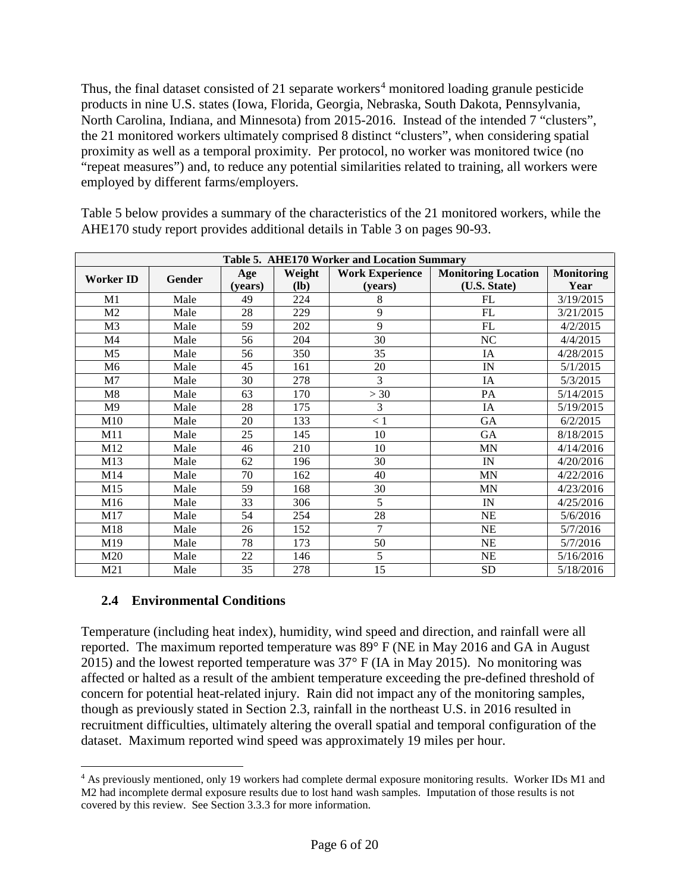Thus, the final dataset consisted of 21 separate workers<sup>[4](#page-5-0)</sup> monitored loading granule pesticide products in nine U.S. states (Iowa, Florida, Georgia, Nebraska, South Dakota, Pennsylvania, North Carolina, Indiana, and Minnesota) from 2015-2016. Instead of the intended 7 "clusters", the 21 monitored workers ultimately comprised 8 distinct "clusters", when considering spatial proximity as well as a temporal proximity. Per protocol, no worker was monitored twice (no "repeat measures") and, to reduce any potential similarities related to training, all workers were employed by different farms/employers.

Table 5 below provides a summary of the characteristics of the 21 monitored workers, while the AHE170 study report provides additional details in Table 3 on pages 90-93.

| Table 5. AHE170 Worker and Location Summary |      |         |        |                        |                            |                   |  |  |
|---------------------------------------------|------|---------|--------|------------------------|----------------------------|-------------------|--|--|
| <b>Worker ID</b><br>Gender                  |      | Age     | Weight | <b>Work Experience</b> | <b>Monitoring Location</b> | <b>Monitoring</b> |  |  |
|                                             |      | (years) | $(lb)$ | (years)                | (U.S. State)               | Year              |  |  |
| M1                                          | Male | 49      | 224    | 8                      | FL                         | 3/19/2015         |  |  |
| M <sub>2</sub>                              | Male | 28      | 229    | 9                      | FL                         | 3/21/2015         |  |  |
| M <sub>3</sub>                              | Male | 59      | 202    | 9                      | FL                         | 4/2/2015          |  |  |
| M4                                          | Male | 56      | 204    | 30                     | NC                         | 4/4/2015          |  |  |
| M <sub>5</sub>                              | Male | 56      | 350    | 35                     | IA                         | 4/28/2015         |  |  |
| M6                                          | Male | 45      | 161    | 20                     | IN                         | 5/1/2015          |  |  |
| M7                                          | Male | 30      | 278    | 3                      | IA                         | 5/3/2015          |  |  |
| M8                                          | Male | 63      | 170    | >30                    | PA                         | 5/14/2015         |  |  |
| M <sub>9</sub>                              | Male | 28      | 175    | 3                      | IA                         | 5/19/2015         |  |  |
| M10                                         | Male | 20      | 133    | < 1                    | GA                         | 6/2/2015          |  |  |
| M11                                         | Male | 25      | 145    | 10                     | GA                         | 8/18/2015         |  |  |
| M12                                         | Male | 46      | 210    | 10                     | <b>MN</b>                  | 4/14/2016         |  |  |
| M13                                         | Male | 62      | 196    | 30                     | IN                         | 4/20/2016         |  |  |
| M14                                         | Male | 70      | 162    | 40                     | <b>MN</b>                  | 4/22/2016         |  |  |
| M15                                         | Male | 59      | 168    | 30                     | <b>MN</b>                  | 4/23/2016         |  |  |
| M16                                         | Male | 33      | 306    | 5                      | IN                         | 4/25/2016         |  |  |
| M17                                         | Male | 54      | 254    | 28                     | <b>NE</b>                  | 5/6/2016          |  |  |
| M18                                         | Male | 26      | 152    | 7                      | $NE$                       | 5/7/2016          |  |  |
| M19                                         | Male | 78      | 173    | 50                     | <b>NE</b>                  | 5/7/2016          |  |  |
| M20                                         | Male | 22      | 146    | 5                      | NE                         | 5/16/2016         |  |  |
| M21                                         | Male | 35      | 278    | 15                     | <b>SD</b>                  | 5/18/2016         |  |  |

## **2.4 Environmental Conditions**

Temperature (including heat index), humidity, wind speed and direction, and rainfall were all reported. The maximum reported temperature was 89° F (NE in May 2016 and GA in August 2015) and the lowest reported temperature was 37° F (IA in May 2015). No monitoring was affected or halted as a result of the ambient temperature exceeding the pre-defined threshold of concern for potential heat-related injury. Rain did not impact any of the monitoring samples, though as previously stated in Section 2.3, rainfall in the northeast U.S. in 2016 resulted in recruitment difficulties, ultimately altering the overall spatial and temporal configuration of the dataset. Maximum reported wind speed was approximately 19 miles per hour.

<span id="page-5-0"></span> <sup>4</sup> As previously mentioned, only 19 workers had complete dermal exposure monitoring results. Worker IDs M1 and M2 had incomplete dermal exposure results due to lost hand wash samples. Imputation of those results is not covered by this review. See Section 3.3.3 for more information.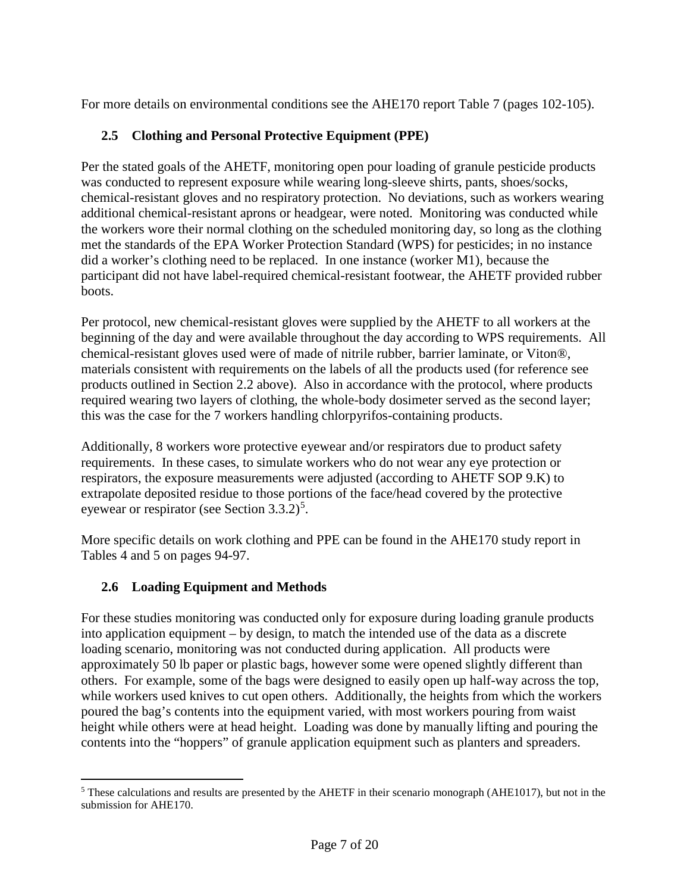For more details on environmental conditions see the AHE170 report Table 7 (pages 102-105).

## **2.5 Clothing and Personal Protective Equipment (PPE)**

Per the stated goals of the AHETF, monitoring open pour loading of granule pesticide products was conducted to represent exposure while wearing long-sleeve shirts, pants, shoes/socks, chemical-resistant gloves and no respiratory protection. No deviations, such as workers wearing additional chemical-resistant aprons or headgear, were noted. Monitoring was conducted while the workers wore their normal clothing on the scheduled monitoring day, so long as the clothing met the standards of the EPA Worker Protection Standard (WPS) for pesticides; in no instance did a worker's clothing need to be replaced. In one instance (worker M1), because the participant did not have label-required chemical-resistant footwear, the AHETF provided rubber boots.

Per protocol, new chemical-resistant gloves were supplied by the AHETF to all workers at the beginning of the day and were available throughout the day according to WPS requirements. All chemical-resistant gloves used were of made of nitrile rubber, barrier laminate, or Viton®, materials consistent with requirements on the labels of all the products used (for reference see products outlined in Section 2.2 above). Also in accordance with the protocol, where products required wearing two layers of clothing, the whole-body dosimeter served as the second layer; this was the case for the 7 workers handling chlorpyrifos-containing products.

Additionally, 8 workers wore protective eyewear and/or respirators due to product safety requirements. In these cases, to simulate workers who do not wear any eye protection or respirators, the exposure measurements were adjusted (according to AHETF SOP 9.K) to extrapolate deposited residue to those portions of the face/head covered by the protective eyewear or respirator (see Section 3.3.2)<sup>[5](#page-6-0)</sup>.

More specific details on work clothing and PPE can be found in the AHE170 study report in Tables 4 and 5 on pages 94-97.

## **2.6 Loading Equipment and Methods**

For these studies monitoring was conducted only for exposure during loading granule products into application equipment – by design, to match the intended use of the data as a discrete loading scenario, monitoring was not conducted during application. All products were approximately 50 lb paper or plastic bags, however some were opened slightly different than others. For example, some of the bags were designed to easily open up half-way across the top, while workers used knives to cut open others. Additionally, the heights from which the workers poured the bag's contents into the equipment varied, with most workers pouring from waist height while others were at head height. Loading was done by manually lifting and pouring the contents into the "hoppers" of granule application equipment such as planters and spreaders.

<span id="page-6-0"></span><sup>&</sup>lt;sup>5</sup> These calculations and results are presented by the AHETF in their scenario monograph (AHE1017), but not in the submission for AHE170.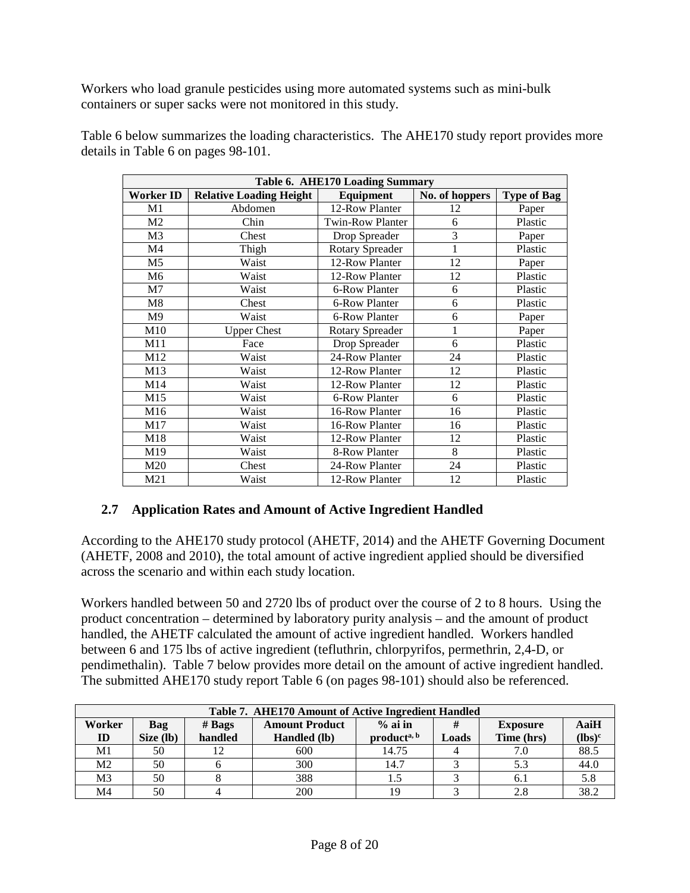Workers who load granule pesticides using more automated systems such as mini-bulk containers or super sacks were not monitored in this study.

| Table 6. AHE170 Loading Summary |                                |                         |                |                    |  |  |  |  |  |
|---------------------------------|--------------------------------|-------------------------|----------------|--------------------|--|--|--|--|--|
| Worker ID                       | <b>Relative Loading Height</b> | Equipment               | No. of hoppers | <b>Type of Bag</b> |  |  |  |  |  |
| M1                              | Abdomen                        | 12-Row Planter          | 12             | Paper              |  |  |  |  |  |
| M <sub>2</sub>                  | Chin                           | <b>Twin-Row Planter</b> | 6              | Plastic            |  |  |  |  |  |
| M <sub>3</sub>                  | Chest                          | Drop Spreader           | 3              | Paper              |  |  |  |  |  |
| M <sub>4</sub>                  | Thigh                          | <b>Rotary Spreader</b>  | 1              | Plastic            |  |  |  |  |  |
| M <sub>5</sub>                  | Waist                          | 12-Row Planter          | 12             | Paper              |  |  |  |  |  |
| M6                              | Waist                          | 12-Row Planter          | 12             | Plastic            |  |  |  |  |  |
| M7                              | Waist                          | 6-Row Planter           | 6              | Plastic            |  |  |  |  |  |
| M8                              | Chest                          | 6-Row Planter           | 6              | Plastic            |  |  |  |  |  |
| M <sub>9</sub>                  | Waist                          | 6-Row Planter           | 6              | Paper              |  |  |  |  |  |
| M10                             | <b>Upper Chest</b>             | <b>Rotary Spreader</b>  | $\mathbf{1}$   | Paper              |  |  |  |  |  |
| M11                             | Face                           | Drop Spreader           | 6              | Plastic            |  |  |  |  |  |
| M12                             | Waist                          | 24-Row Planter          | 24             | Plastic            |  |  |  |  |  |
| M13                             | Waist                          | 12-Row Planter          | 12             | Plastic            |  |  |  |  |  |
| M14                             | Waist                          | 12-Row Planter          | 12             | Plastic            |  |  |  |  |  |
| M15                             | Waist                          | 6-Row Planter           | 6              | Plastic            |  |  |  |  |  |
| M16                             | Waist                          | 16-Row Planter          | 16             | Plastic            |  |  |  |  |  |
| M17                             | Waist                          | 16-Row Planter          | 16             | Plastic            |  |  |  |  |  |
| M18                             | Waist                          | 12-Row Planter          | 12             | Plastic            |  |  |  |  |  |
| M19                             | Waist                          | 8-Row Planter           | 8              | Plastic            |  |  |  |  |  |
| M20                             | Chest                          | 24-Row Planter          | 24             | Plastic            |  |  |  |  |  |
| M21                             | Waist                          | 12-Row Planter          | 12             | Plastic            |  |  |  |  |  |

Table 6 below summarizes the loading characteristics. The AHE170 study report provides more details in Table 6 on pages 98-101.

#### **2.7 Application Rates and Amount of Active Ingredient Handled**

According to the AHE170 study protocol (AHETF, 2014) and the AHETF Governing Document (AHETF, 2008 and 2010), the total amount of active ingredient applied should be diversified across the scenario and within each study location.

Workers handled between 50 and 2720 lbs of product over the course of 2 to 8 hours. Using the product concentration – determined by laboratory purity analysis – and the amount of product handled, the AHETF calculated the amount of active ingredient handled. Workers handled between 6 and 175 lbs of active ingredient (tefluthrin, chlorpyrifos, permethrin, 2,4-D, or pendimethalin). Table 7 below provides more detail on the amount of active ingredient handled. The submitted AHE170 study report Table 6 (on pages 98-101) should also be referenced.

|                | Table 7. AHE170 Amount of Active Ingredient Handled |               |                 |                         |       |            |           |  |  |
|----------------|-----------------------------------------------------|---------------|-----------------|-------------------------|-------|------------|-----------|--|--|
| Worker         | Bag                                                 | # <b>Bags</b> | <b>Exposure</b> | AaiH                    |       |            |           |  |  |
| $\mathbf{D}$   | Size (lb)                                           | handled       | Handled (lb)    | product <sup>a, b</sup> | Loads | Time (hrs) | $(lbs)^c$ |  |  |
| M1             | 50                                                  |               | 600             | 14.75                   |       | 7.0        | 88.5      |  |  |
| M <sub>2</sub> | 50                                                  |               | 300             | 14.7                    |       | 5.3        | 44.0      |  |  |
| M3             | 50                                                  |               | 388             |                         |       | 6.1        | 5.8       |  |  |
| M4             | 50                                                  |               | 200             | 19                      |       | 2.8        | 38.2      |  |  |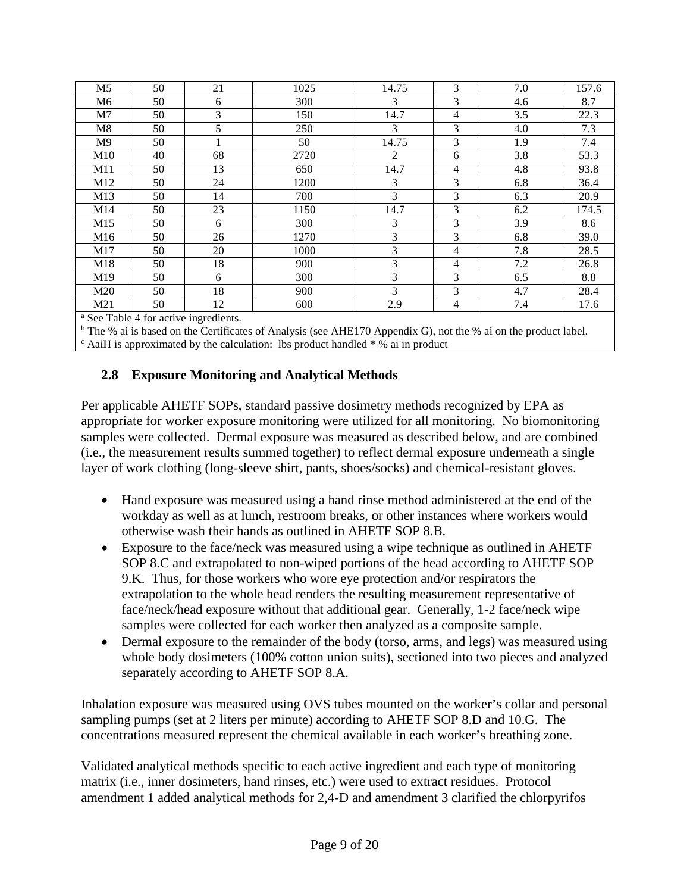| M <sub>5</sub> | 50 | 21             | 1025 | 14.75 | 3              | 7.0 | 157.6 |
|----------------|----|----------------|------|-------|----------------|-----|-------|
| M6             | 50 | 6              | 300  | 3     | 3              | 4.6 | 8.7   |
| M7             | 50 | $\overline{3}$ | 150  | 14.7  | $\overline{4}$ | 3.5 | 22.3  |
| M8             | 50 | 5              | 250  | 3     | 3              | 4.0 | 7.3   |
| M <sub>9</sub> | 50 |                | 50   | 14.75 | $\overline{3}$ | 1.9 | 7.4   |
| M10            | 40 | 68             | 2720 | 2     | 6              | 3.8 | 53.3  |
| M11            | 50 | 13             | 650  | 14.7  | $\overline{4}$ | 4.8 | 93.8  |
| M12            | 50 | 24             | 1200 | 3     | 3              | 6.8 | 36.4  |
| M13            | 50 | 14             | 700  | 3     | 3              | 6.3 | 20.9  |
| M14            | 50 | 23             | 1150 | 14.7  | $\overline{3}$ | 6.2 | 174.5 |
| M15            | 50 | 6              | 300  | 3     | 3              | 3.9 | 8.6   |
| M16            | 50 | 26             | 1270 | 3     | 3              | 6.8 | 39.0  |
| M17            | 50 | 20             | 1000 | 3     | $\overline{4}$ | 7.8 | 28.5  |
| M18            | 50 | 18             | 900  | 3     | 4              | 7.2 | 26.8  |
| M19            | 50 | 6              | 300  | 3     | $\overline{3}$ | 6.5 | 8.8   |
| M20            | 50 | 18             | 900  | 3     | 3              | 4.7 | 28.4  |
| M21            | 50 | 12             | 600  | 2.9   | 4              | 7.4 | 17.6  |

<sup>a</sup> See Table 4 for active ingredients.

<sup>b</sup> The % ai is based on the Certificates of Analysis (see AHE170 Appendix G), not the % ai on the product label.  $\epsilon$  AaiH is approximated by the calculation: lbs product handled  $*$  % ai in product

#### **2.8 Exposure Monitoring and Analytical Methods**

Per applicable AHETF SOPs, standard passive dosimetry methods recognized by EPA as appropriate for worker exposure monitoring were utilized for all monitoring. No biomonitoring samples were collected. Dermal exposure was measured as described below, and are combined (i.e., the measurement results summed together) to reflect dermal exposure underneath a single layer of work clothing (long-sleeve shirt, pants, shoes/socks) and chemical-resistant gloves.

- Hand exposure was measured using a hand rinse method administered at the end of the workday as well as at lunch, restroom breaks, or other instances where workers would otherwise wash their hands as outlined in AHETF SOP 8.B.
- Exposure to the face/neck was measured using a wipe technique as outlined in AHETF SOP 8.C and extrapolated to non-wiped portions of the head according to AHETF SOP 9.K. Thus, for those workers who wore eye protection and/or respirators the extrapolation to the whole head renders the resulting measurement representative of face/neck/head exposure without that additional gear. Generally, 1-2 face/neck wipe samples were collected for each worker then analyzed as a composite sample.
- Dermal exposure to the remainder of the body (torso, arms, and legs) was measured using whole body dosimeters (100% cotton union suits), sectioned into two pieces and analyzed separately according to AHETF SOP 8.A.

Inhalation exposure was measured using OVS tubes mounted on the worker's collar and personal sampling pumps (set at 2 liters per minute) according to AHETF SOP 8.D and 10.G. The concentrations measured represent the chemical available in each worker's breathing zone.

Validated analytical methods specific to each active ingredient and each type of monitoring matrix (i.e., inner dosimeters, hand rinses, etc.) were used to extract residues. Protocol amendment 1 added analytical methods for 2,4-D and amendment 3 clarified the chlorpyrifos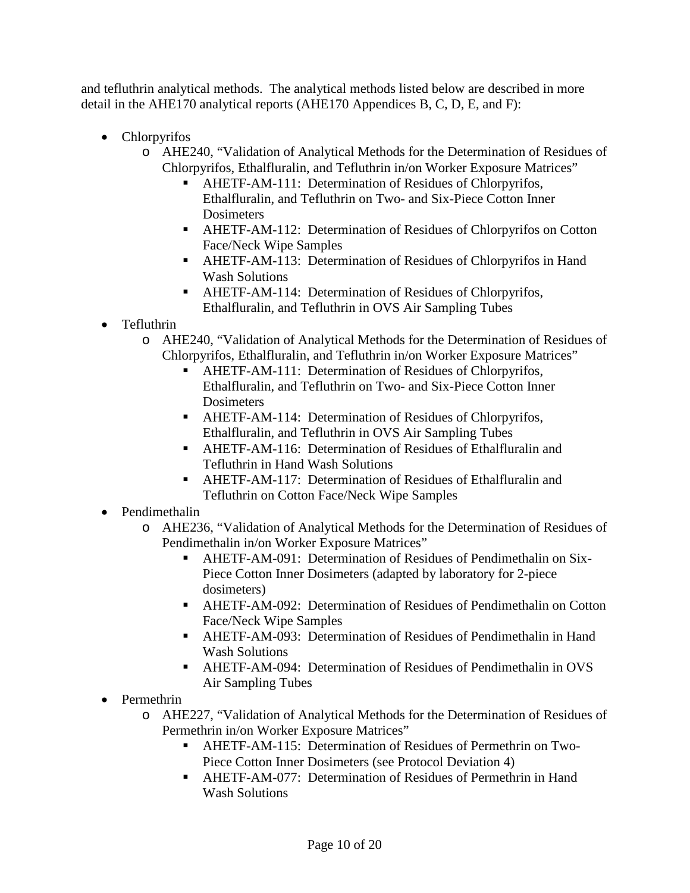and tefluthrin analytical methods. The analytical methods listed below are described in more detail in the AHE170 analytical reports (AHE170 Appendices B, C, D, E, and F):

- Chlorpyrifos
	- o AHE240, "Validation of Analytical Methods for the Determination of Residues of Chlorpyrifos, Ethalfluralin, and Tefluthrin in/on Worker Exposure Matrices"
		- AHETF-AM-111: Determination of Residues of Chlorpyrifos, Ethalfluralin, and Tefluthrin on Two- and Six-Piece Cotton Inner **Dosimeters**
		- AHETF-AM-112: Determination of Residues of Chlorpyrifos on Cotton Face/Neck Wipe Samples
		- AHETF-AM-113: Determination of Residues of Chlorpyrifos in Hand Wash Solutions
		- AHETF-AM-114: Determination of Residues of Chlorpyrifos, Ethalfluralin, and Tefluthrin in OVS Air Sampling Tubes
- Tefluthrin
	- o AHE240, "Validation of Analytical Methods for the Determination of Residues of Chlorpyrifos, Ethalfluralin, and Tefluthrin in/on Worker Exposure Matrices"
		- AHETF-AM-111: Determination of Residues of Chlorpyrifos, Ethalfluralin, and Tefluthrin on Two- and Six-Piece Cotton Inner **Dosimeters**
		- AHETF-AM-114: Determination of Residues of Chlorpyrifos, Ethalfluralin, and Tefluthrin in OVS Air Sampling Tubes
		- AHETF-AM-116: Determination of Residues of Ethalfluralin and Tefluthrin in Hand Wash Solutions
		- AHETF-AM-117: Determination of Residues of Ethalfluralin and Tefluthrin on Cotton Face/Neck Wipe Samples
- Pendimethalin
	- o AHE236, "Validation of Analytical Methods for the Determination of Residues of Pendimethalin in/on Worker Exposure Matrices"
		- AHETF-AM-091: Determination of Residues of Pendimethalin on Six-Piece Cotton Inner Dosimeters (adapted by laboratory for 2-piece dosimeters)
		- AHETF-AM-092: Determination of Residues of Pendimethalin on Cotton Face/Neck Wipe Samples
		- AHETF-AM-093: Determination of Residues of Pendimethalin in Hand Wash Solutions
		- AHETF-AM-094: Determination of Residues of Pendimethalin in OVS Air Sampling Tubes
- Permethrin
	- o AHE227, "Validation of Analytical Methods for the Determination of Residues of Permethrin in/on Worker Exposure Matrices"
		- AHETF-AM-115: Determination of Residues of Permethrin on Two-Piece Cotton Inner Dosimeters (see Protocol Deviation 4)
		- AHETF-AM-077: Determination of Residues of Permethrin in Hand Wash Solutions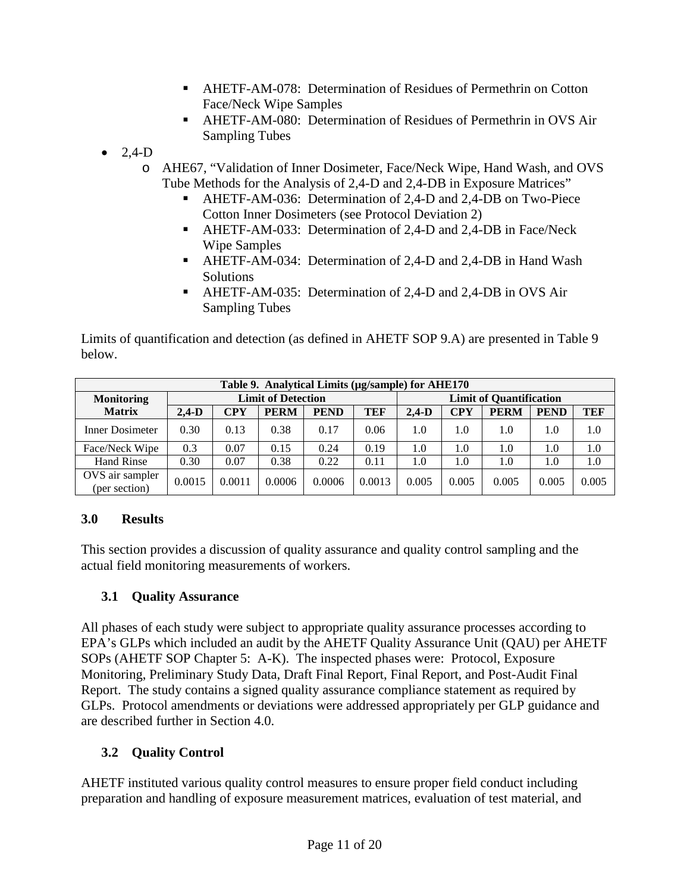- AHETF-AM-078: Determination of Residues of Permethrin on Cotton Face/Neck Wipe Samples
- AHETF-AM-080: Determination of Residues of Permethrin in OVS Air Sampling Tubes

 $\bullet$  2.4-D

- o AHE67, "Validation of Inner Dosimeter, Face/Neck Wipe, Hand Wash, and OVS Tube Methods for the Analysis of 2,4-D and 2,4-DB in Exposure Matrices"
	- AHETF-AM-036: Determination of 2,4-D and 2,4-DB on Two-Piece Cotton Inner Dosimeters (see Protocol Deviation 2)
	- AHETF-AM-033: Determination of 2,4-D and 2,4-DB in Face/Neck Wipe Samples
	- AHETF-AM-034: Determination of 2,4-D and 2,4-DB in Hand Wash **Solutions**
	- AHETF-AM-035: Determination of 2,4-D and 2,4-DB in OVS Air Sampling Tubes

Limits of quantification and detection (as defined in AHETF SOP 9.A) are presented in [Table 9](#page-10-0) below.

<span id="page-10-0"></span>

| Table 9. Analytical Limits (µg/sample) for AHE170 |                           |            |             |             |        |                                |            |             |             |       |
|---------------------------------------------------|---------------------------|------------|-------------|-------------|--------|--------------------------------|------------|-------------|-------------|-------|
| <b>Monitoring</b>                                 | <b>Limit of Detection</b> |            |             |             |        | <b>Limit of Quantification</b> |            |             |             |       |
| <b>Matrix</b>                                     | $2.4-D$                   | <b>CPY</b> | <b>PERM</b> | <b>PEND</b> | TEF    | $2.4-D$                        | <b>CPY</b> | <b>PERM</b> | <b>PEND</b> | TEF   |
| Inner Dosimeter                                   | 0.30                      | 0.13       | 0.38        | 0.17        | 0.06   | 1.0                            | 1.0        | 1.0         | 1.0         | 1.0   |
| Face/Neck Wipe                                    | 0.3                       | 0.07       | 0.15        | 0.24        | 0.19   | 1.0                            | 1.0        | 1.0         | 1.0         | 1.0   |
| <b>Hand Rinse</b>                                 | 0.30                      | 0.07       | 0.38        | 0.22        | 0.11   | 1.0                            | 1.0        | 1.0         | 1.0         | 1.0   |
| OVS air sampler<br>(per section)                  | 0.0015                    | 0.0011     | 0.0006      | 0.0006      | 0.0013 | 0.005                          | 0.005      | 0.005       | 0.005       | 0.005 |

## **3.0 Results**

This section provides a discussion of quality assurance and quality control sampling and the actual field monitoring measurements of workers.

# **3.1 Quality Assurance**

All phases of each study were subject to appropriate quality assurance processes according to EPA's GLPs which included an audit by the AHETF Quality Assurance Unit (QAU) per AHETF SOPs (AHETF SOP Chapter 5: A-K). The inspected phases were: Protocol, Exposure Monitoring, Preliminary Study Data, Draft Final Report, Final Report, and Post-Audit Final Report. The study contains a signed quality assurance compliance statement as required by GLPs. Protocol amendments or deviations were addressed appropriately per GLP guidance and are described further in Section 4.0.

# **3.2 Quality Control**

AHETF instituted various quality control measures to ensure proper field conduct including preparation and handling of exposure measurement matrices, evaluation of test material, and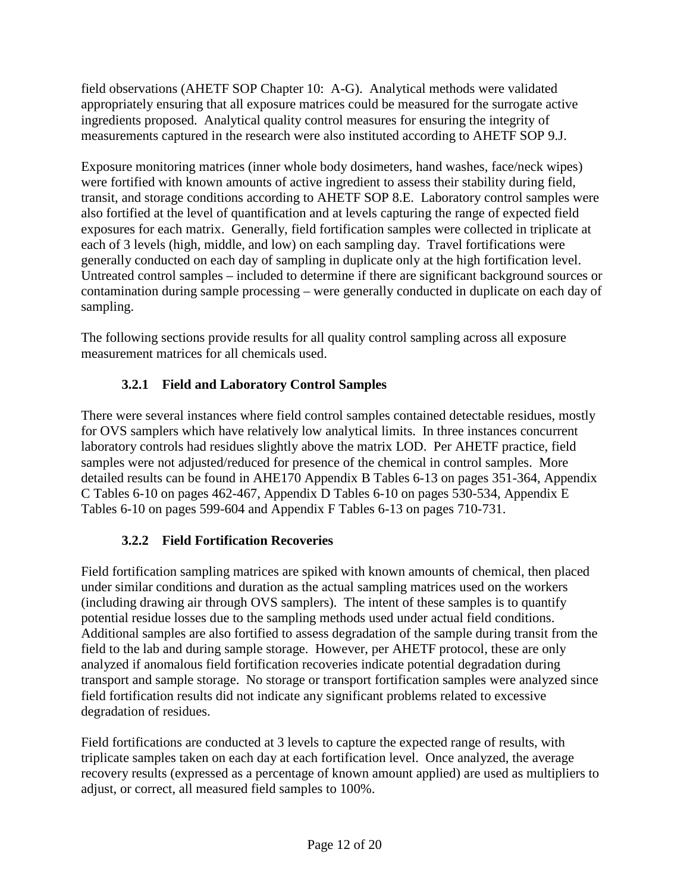field observations (AHETF SOP Chapter 10: A-G). Analytical methods were validated appropriately ensuring that all exposure matrices could be measured for the surrogate active ingredients proposed. Analytical quality control measures for ensuring the integrity of measurements captured in the research were also instituted according to AHETF SOP 9.J.

Exposure monitoring matrices (inner whole body dosimeters, hand washes, face/neck wipes) were fortified with known amounts of active ingredient to assess their stability during field, transit, and storage conditions according to AHETF SOP 8.E. Laboratory control samples were also fortified at the level of quantification and at levels capturing the range of expected field exposures for each matrix. Generally, field fortification samples were collected in triplicate at each of 3 levels (high, middle, and low) on each sampling day. Travel fortifications were generally conducted on each day of sampling in duplicate only at the high fortification level. Untreated control samples – included to determine if there are significant background sources or contamination during sample processing – were generally conducted in duplicate on each day of sampling.

The following sections provide results for all quality control sampling across all exposure measurement matrices for all chemicals used.

# **3.2.1 Field and Laboratory Control Samples**

There were several instances where field control samples contained detectable residues, mostly for OVS samplers which have relatively low analytical limits. In three instances concurrent laboratory controls had residues slightly above the matrix LOD. Per AHETF practice, field samples were not adjusted/reduced for presence of the chemical in control samples. More detailed results can be found in AHE170 Appendix B Tables 6-13 on pages 351-364, Appendix C Tables 6-10 on pages 462-467, Appendix D Tables 6-10 on pages 530-534, Appendix E Tables 6-10 on pages 599-604 and Appendix F Tables 6-13 on pages 710-731.

# **3.2.2 Field Fortification Recoveries**

Field fortification sampling matrices are spiked with known amounts of chemical, then placed under similar conditions and duration as the actual sampling matrices used on the workers (including drawing air through OVS samplers). The intent of these samples is to quantify potential residue losses due to the sampling methods used under actual field conditions. Additional samples are also fortified to assess degradation of the sample during transit from the field to the lab and during sample storage. However, per AHETF protocol, these are only analyzed if anomalous field fortification recoveries indicate potential degradation during transport and sample storage. No storage or transport fortification samples were analyzed since field fortification results did not indicate any significant problems related to excessive degradation of residues.

Field fortifications are conducted at 3 levels to capture the expected range of results, with triplicate samples taken on each day at each fortification level. Once analyzed, the average recovery results (expressed as a percentage of known amount applied) are used as multipliers to adjust, or correct, all measured field samples to 100%.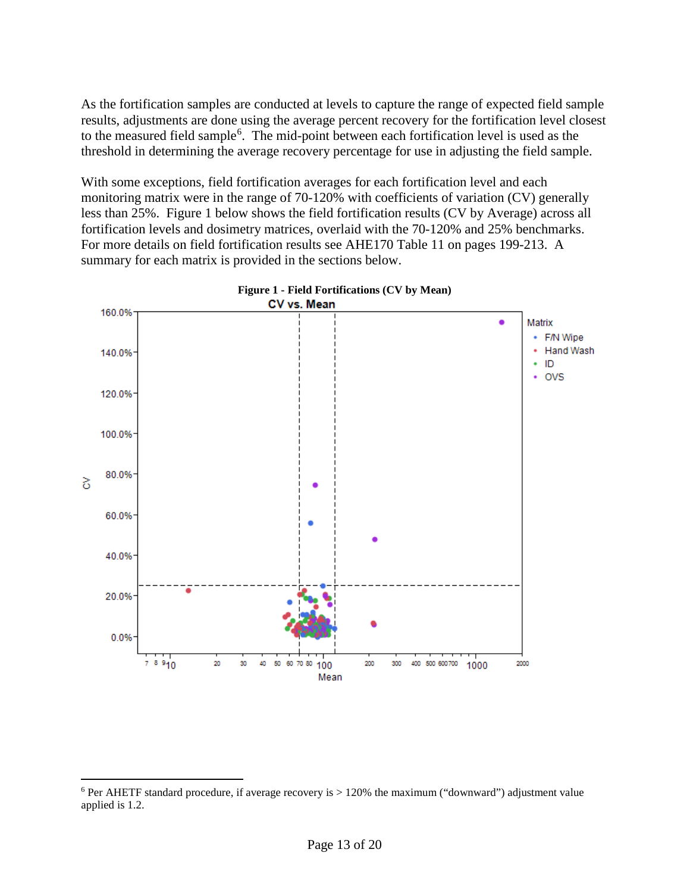As the fortification samples are conducted at levels to capture the range of expected field sample results, adjustments are done using the average percent recovery for the fortification level closest to the measured field sample<sup>[6](#page-12-0)</sup>. The mid-point between each fortification level is used as the threshold in determining the average recovery percentage for use in adjusting the field sample.

With some exceptions, field fortification averages for each fortification level and each monitoring matrix were in the range of 70-120% with coefficients of variation (CV) generally less than 25%. Figure 1 below shows the field fortification results (CV by Average) across all fortification levels and dosimetry matrices, overlaid with the 70-120% and 25% benchmarks. For more details on field fortification results see AHE170 Table 11 on pages 199-213. A summary for each matrix is provided in the sections below.





<span id="page-12-0"></span> $6$  Per AHETF standard procedure, if average recovery is  $> 120\%$  the maximum ("downward") adjustment value applied is 1.2.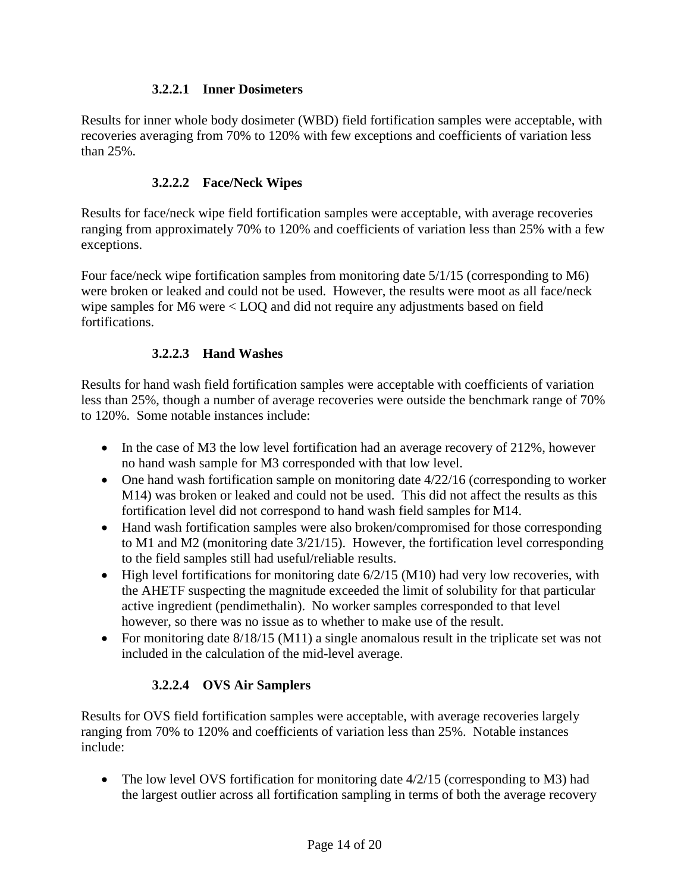#### **3.2.2.1 Inner Dosimeters**

Results for inner whole body dosimeter (WBD) field fortification samples were acceptable, with recoveries averaging from 70% to 120% with few exceptions and coefficients of variation less than 25%.

#### **3.2.2.2 Face/Neck Wipes**

Results for face/neck wipe field fortification samples were acceptable, with average recoveries ranging from approximately 70% to 120% and coefficients of variation less than 25% with a few exceptions.

Four face/neck wipe fortification samples from monitoring date 5/1/15 (corresponding to M6) were broken or leaked and could not be used. However, the results were moot as all face/neck wipe samples for M6 were < LOQ and did not require any adjustments based on field fortifications.

#### **3.2.2.3 Hand Washes**

Results for hand wash field fortification samples were acceptable with coefficients of variation less than 25%, though a number of average recoveries were outside the benchmark range of 70% to 120%. Some notable instances include:

- In the case of M3 the low level fortification had an average recovery of 212%, however no hand wash sample for M3 corresponded with that low level.
- One hand wash fortification sample on monitoring date  $4/22/16$  (corresponding to worker M14) was broken or leaked and could not be used. This did not affect the results as this fortification level did not correspond to hand wash field samples for M14.
- Hand wash fortification samples were also broken/compromised for those corresponding to M1 and M2 (monitoring date 3/21/15). However, the fortification level corresponding to the field samples still had useful/reliable results.
- High level fortifications for monitoring date 6/2/15 (M10) had very low recoveries, with the AHETF suspecting the magnitude exceeded the limit of solubility for that particular active ingredient (pendimethalin). No worker samples corresponded to that level however, so there was no issue as to whether to make use of the result.
- For monitoring date 8/18/15 (M11) a single anomalous result in the triplicate set was not included in the calculation of the mid-level average.

## **3.2.2.4 OVS Air Samplers**

Results for OVS field fortification samples were acceptable, with average recoveries largely ranging from 70% to 120% and coefficients of variation less than 25%. Notable instances include:

• The low level OVS fortification for monitoring date  $4/2/15$  (corresponding to M3) had the largest outlier across all fortification sampling in terms of both the average recovery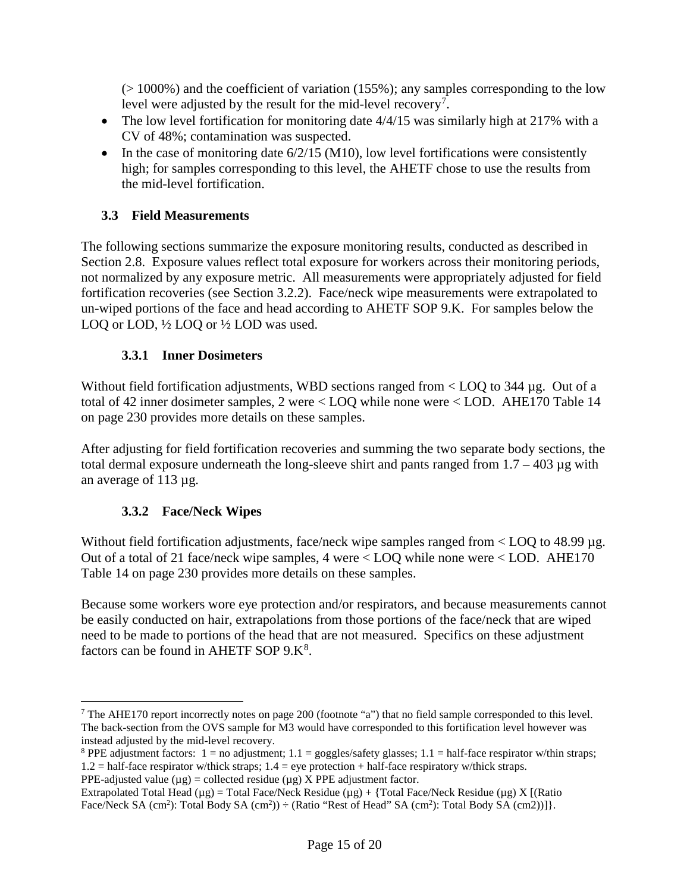$(> 1000\%)$  and the coefficient of variation (155%); any samples corresponding to the low level were adjusted by the result for the mid-level recovery<sup>[7](#page-14-0)</sup>.

- The low level fortification for monitoring date 4/4/15 was similarly high at 217% with a CV of 48%; contamination was suspected.
- In the case of monitoring date  $6/2/15$  (M10), low level fortifications were consistently high; for samples corresponding to this level, the AHETF chose to use the results from the mid-level fortification.

## **3.3 Field Measurements**

The following sections summarize the exposure monitoring results, conducted as described in Section 2.8. Exposure values reflect total exposure for workers across their monitoring periods, not normalized by any exposure metric. All measurements were appropriately adjusted for field fortification recoveries (see Section 3.2.2). Face/neck wipe measurements were extrapolated to un-wiped portions of the face and head according to AHETF SOP 9.K. For samples below the LOQ or LOD,  $\frac{1}{2}$  LOQ or  $\frac{1}{2}$  LOD was used.

## **3.3.1 Inner Dosimeters**

Without field fortification adjustments, WBD sections ranged from  $\langle$  LOQ to 344 µg. Out of a total of 42 inner dosimeter samples, 2 were < LOQ while none were < LOD. AHE170 Table 14 on page 230 provides more details on these samples.

After adjusting for field fortification recoveries and summing the two separate body sections, the total dermal exposure underneath the long-sleeve shirt and pants ranged from  $1.7 - 403 \mu$ g with an average of 113 µg.

## **3.3.2 Face/Neck Wipes**

Without field fortification adjustments, face/neck wipe samples ranged from  $\langle$  LOQ to 48.99 µg. Out of a total of 21 face/neck wipe samples, 4 were < LOQ while none were < LOD. AHE170 Table 14 on page 230 provides more details on these samples.

Because some workers wore eye protection and/or respirators, and because measurements cannot be easily conducted on hair, extrapolations from those portions of the face/neck that are wiped need to be made to portions of the head that are not measured. Specifics on these adjustment factors can be found in AHETF SOP  $9.K<sup>8</sup>$  $9.K<sup>8</sup>$  $9.K<sup>8</sup>$ .

<span id="page-14-0"></span><sup>&</sup>lt;sup>7</sup> The AHE170 report incorrectly notes on page 200 (footnote "a") that no field sample corresponded to this level. The back-section from the OVS sample for M3 would have corresponded to this fortification level however was instead adjusted by the mid-level recovery.

<span id="page-14-1"></span><sup>&</sup>lt;sup>8</sup> PPE adjustment factors:  $1 =$  no adjustment;  $1.1 =$  goggles/safety glasses;  $1.1 =$  half-face respirator w/thin straps; 1.2 = half-face respirator w/thick straps; 1.4 = eye protection + half-face respiratory w/thick straps.

PPE-adjusted value  $(\mu g)$  = collected residue  $(\mu g)$  X PPE adjustment factor.

Extrapolated Total Head ( $\mu$ g) = Total Face/Neck Residue ( $\mu$ g) + {Total Face/Neck Residue ( $\mu$ g) X [(Ratio Face/Neck SA  $(cm^2)$ : Total Body SA  $(cm^2)$ )  $\div$  (Ratio "Rest of Head" SA  $(cm^2)$ : Total Body SA  $(cm2)$ ]].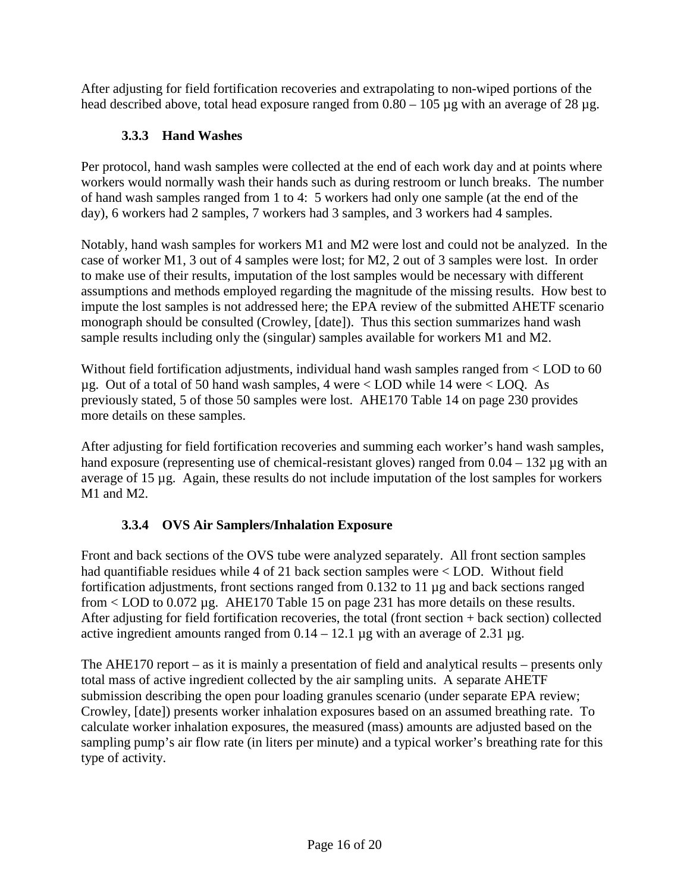After adjusting for field fortification recoveries and extrapolating to non-wiped portions of the head described above, total head exposure ranged from  $0.80 - 105 \mu$ g with an average of 28  $\mu$ g.

# **3.3.3 Hand Washes**

Per protocol, hand wash samples were collected at the end of each work day and at points where workers would normally wash their hands such as during restroom or lunch breaks. The number of hand wash samples ranged from 1 to 4: 5 workers had only one sample (at the end of the day), 6 workers had 2 samples, 7 workers had 3 samples, and 3 workers had 4 samples.

Notably, hand wash samples for workers M1 and M2 were lost and could not be analyzed. In the case of worker M1, 3 out of 4 samples were lost; for M2, 2 out of 3 samples were lost. In order to make use of their results, imputation of the lost samples would be necessary with different assumptions and methods employed regarding the magnitude of the missing results. How best to impute the lost samples is not addressed here; the EPA review of the submitted AHETF scenario monograph should be consulted (Crowley, [date]). Thus this section summarizes hand wash sample results including only the (singular) samples available for workers M1 and M2.

Without field fortification adjustments, individual hand wash samples ranged from < LOD to 60 µg. Out of a total of 50 hand wash samples, 4 were < LOD while 14 were < LOQ. As previously stated, 5 of those 50 samples were lost. AHE170 Table 14 on page 230 provides more details on these samples.

After adjusting for field fortification recoveries and summing each worker's hand wash samples, hand exposure (representing use of chemical-resistant gloves) ranged from  $0.04 - 132 \mu$ g with an average of 15 µg. Again, these results do not include imputation of the lost samples for workers M1 and M2.

# **3.3.4 OVS Air Samplers/Inhalation Exposure**

Front and back sections of the OVS tube were analyzed separately. All front section samples had quantifiable residues while 4 of 21 back section samples were < LOD. Without field fortification adjustments, front sections ranged from 0.132 to 11 µg and back sections ranged from < LOD to 0.072 µg. AHE170 Table 15 on page 231 has more details on these results. After adjusting for field fortification recoveries, the total (front section + back section) collected active ingredient amounts ranged from  $0.14 - 12.1$  ug with an average of  $2.31$  ug.

The AHE170 report – as it is mainly a presentation of field and analytical results – presents only total mass of active ingredient collected by the air sampling units. A separate AHETF submission describing the open pour loading granules scenario (under separate EPA review; Crowley, [date]) presents worker inhalation exposures based on an assumed breathing rate. To calculate worker inhalation exposures, the measured (mass) amounts are adjusted based on the sampling pump's air flow rate (in liters per minute) and a typical worker's breathing rate for this type of activity.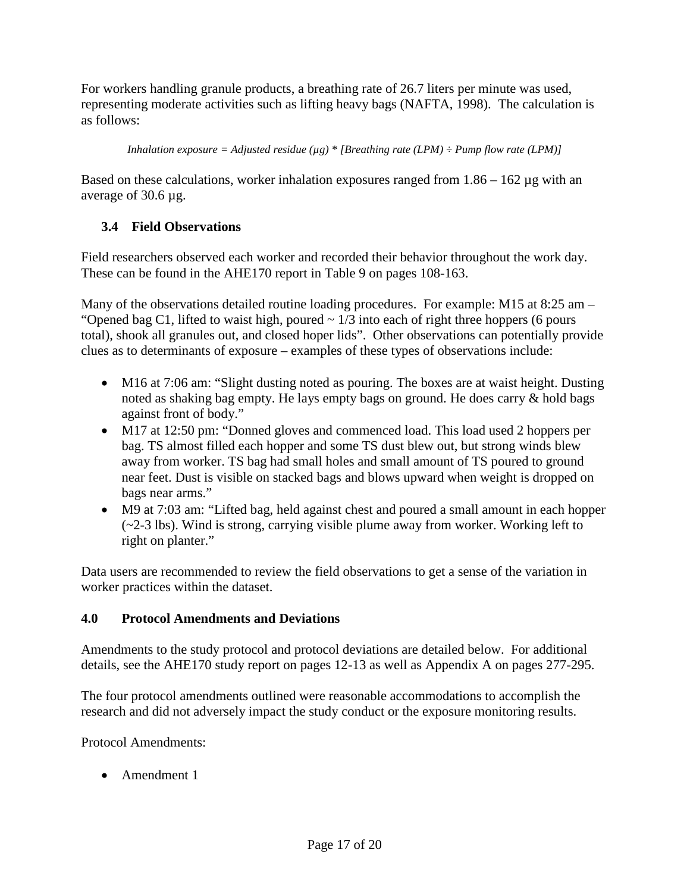For workers handling granule products, a breathing rate of 26.7 liters per minute was used, representing moderate activities such as lifting heavy bags (NAFTA, 1998). The calculation is as follows:

*Inhalation exposure = Adjusted residue* ( $\mu$ g) \* [*Breathing rate* (*LPM*)  $\div$  *Pump flow rate* (*LPM*)]

Based on these calculations, worker inhalation exposures ranged from  $1.86 - 162 \mu$ g with an average of 30.6 µg.

## **3.4 Field Observations**

Field researchers observed each worker and recorded their behavior throughout the work day. These can be found in the AHE170 report in Table 9 on pages 108-163.

Many of the observations detailed routine loading procedures. For example: M15 at 8:25 am – "Opened bag C1, lifted to waist high, poured  $\sim 1/3$  into each of right three hoppers (6 pours total), shook all granules out, and closed hoper lids". Other observations can potentially provide clues as to determinants of exposure – examples of these types of observations include:

- M16 at 7:06 am: "Slight dusting noted as pouring. The boxes are at waist height. Dusting noted as shaking bag empty. He lays empty bags on ground. He does carry & hold bags against front of body."
- M17 at 12:50 pm: "Donned gloves and commenced load. This load used 2 hoppers per bag. TS almost filled each hopper and some TS dust blew out, but strong winds blew away from worker. TS bag had small holes and small amount of TS poured to ground near feet. Dust is visible on stacked bags and blows upward when weight is dropped on bags near arms."
- M9 at 7:03 am: "Lifted bag, held against chest and poured a small amount in each hopper (~2-3 lbs). Wind is strong, carrying visible plume away from worker. Working left to right on planter."

Data users are recommended to review the field observations to get a sense of the variation in worker practices within the dataset.

## **4.0 Protocol Amendments and Deviations**

Amendments to the study protocol and protocol deviations are detailed below. For additional details, see the AHE170 study report on pages 12-13 as well as Appendix A on pages 277-295.

The four protocol amendments outlined were reasonable accommodations to accomplish the research and did not adversely impact the study conduct or the exposure monitoring results.

Protocol Amendments:

• Amendment 1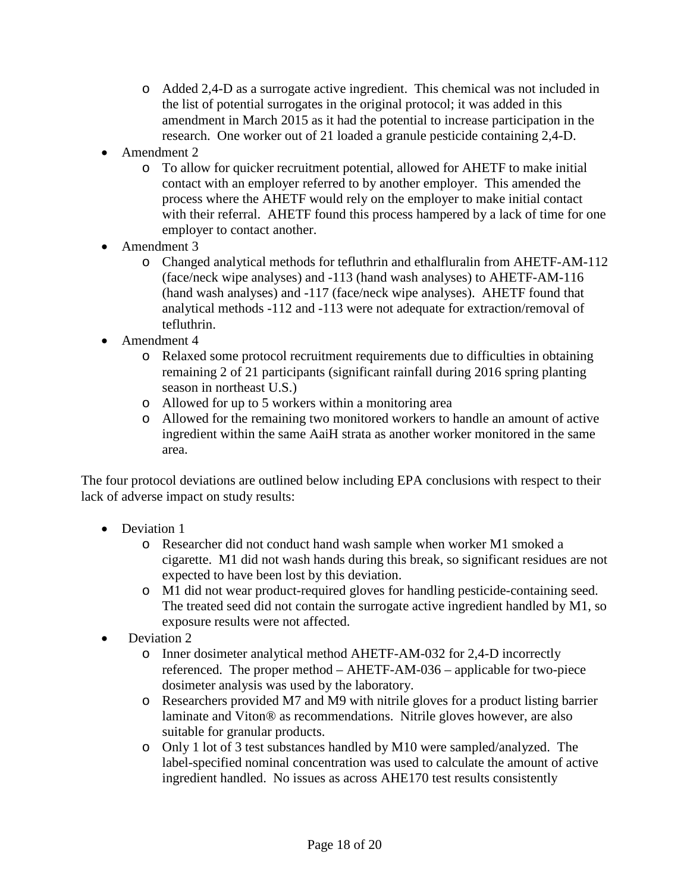- o Added 2,4-D as a surrogate active ingredient. This chemical was not included in the list of potential surrogates in the original protocol; it was added in this amendment in March 2015 as it had the potential to increase participation in the research. One worker out of 21 loaded a granule pesticide containing 2,4-D.
- Amendment 2
	- o To allow for quicker recruitment potential, allowed for AHETF to make initial contact with an employer referred to by another employer. This amended the process where the AHETF would rely on the employer to make initial contact with their referral. AHETF found this process hampered by a lack of time for one employer to contact another.
- Amendment 3
	- o Changed analytical methods for tefluthrin and ethalfluralin from AHETF-AM-112 (face/neck wipe analyses) and -113 (hand wash analyses) to AHETF-AM-116 (hand wash analyses) and -117 (face/neck wipe analyses). AHETF found that analytical methods -112 and -113 were not adequate for extraction/removal of tefluthrin.
- Amendment 4
	- o Relaxed some protocol recruitment requirements due to difficulties in obtaining remaining 2 of 21 participants (significant rainfall during 2016 spring planting season in northeast U.S.)
	- o Allowed for up to 5 workers within a monitoring area
	- o Allowed for the remaining two monitored workers to handle an amount of active ingredient within the same AaiH strata as another worker monitored in the same area.

The four protocol deviations are outlined below including EPA conclusions with respect to their lack of adverse impact on study results:

- Deviation 1
	- o Researcher did not conduct hand wash sample when worker M1 smoked a cigarette. M1 did not wash hands during this break, so significant residues are not expected to have been lost by this deviation.
	- o M1 did not wear product-required gloves for handling pesticide-containing seed. The treated seed did not contain the surrogate active ingredient handled by M1, so exposure results were not affected.
- Deviation 2
	- o Inner dosimeter analytical method AHETF-AM-032 for 2,4-D incorrectly referenced. The proper method – AHETF-AM-036 – applicable for two-piece dosimeter analysis was used by the laboratory.
	- o Researchers provided M7 and M9 with nitrile gloves for a product listing barrier laminate and Viton® as recommendations. Nitrile gloves however, are also suitable for granular products.
	- o Only 1 lot of 3 test substances handled by M10 were sampled/analyzed. The label-specified nominal concentration was used to calculate the amount of active ingredient handled. No issues as across AHE170 test results consistently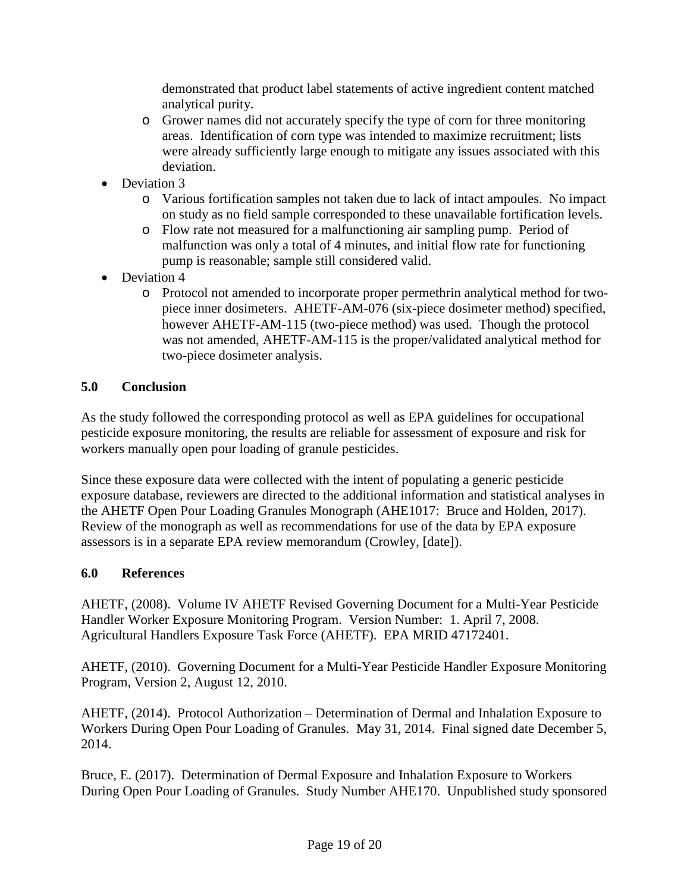demonstrated that product label statements of active ingredient content matched analytical purity.

- o Grower names did not accurately specify the type of corn for three monitoring areas. Identification of corn type was intended to maximize recruitment; lists were already sufficiently large enough to mitigate any issues associated with this deviation.
- Deviation 3
	- o Various fortification samples not taken due to lack of intact ampoules. No impact on study as no field sample corresponded to these unavailable fortification levels.
	- o Flow rate not measured for a malfunctioning air sampling pump. Period of malfunction was only a total of 4 minutes, and initial flow rate for functioning pump is reasonable; sample still considered valid.
- Deviation 4
	- o Protocol not amended to incorporate proper permethrin analytical method for twopiece inner dosimeters. AHETF-AM-076 (six-piece dosimeter method) specified, however AHETF-AM-115 (two-piece method) was used. Though the protocol was not amended, AHETF-AM-115 is the proper/validated analytical method for two-piece dosimeter analysis.

#### **5.0 Conclusion**

As the study followed the corresponding protocol as well as EPA guidelines for occupational pesticide exposure monitoring, the results are reliable for assessment of exposure and risk for workers manually open pour loading of granule pesticides.

Since these exposure data were collected with the intent of populating a generic pesticide exposure database, reviewers are directed to the additional information and statistical analyses in the AHETF Open Pour Loading Granules Monograph (AHE1017: Bruce and Holden, 2017). Review of the monograph as well as recommendations for use of the data by EPA exposure assessors is in a separate EPA review memorandum (Crowley, [date]).

#### **6.0 References**

AHETF, (2008). Volume IV AHETF Revised Governing Document for a Multi-Year Pesticide Handler Worker Exposure Monitoring Program. Version Number: 1. April 7, 2008. Agricultural Handlers Exposure Task Force (AHETF). EPA MRID 47172401.

AHETF, (2010). Governing Document for a Multi-Year Pesticide Handler Exposure Monitoring Program, Version 2, August 12, 2010.

AHETF, (2014). Protocol Authorization – Determination of Dermal and Inhalation Exposure to Workers During Open Pour Loading of Granules. May 31, 2014. Final signed date December 5, 2014.

Bruce, E. (2017). Determination of Dermal Exposure and Inhalation Exposure to Workers During Open Pour Loading of Granules. Study Number AHE170. Unpublished study sponsored